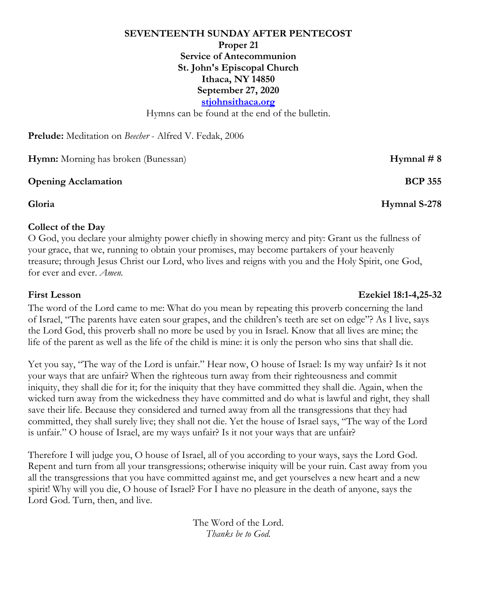# **SEVENTEENTH SUNDAY AFTER PENTECOST Proper 21 Service of Antecommunion St. John's Episcopal Church Ithaca, NY 14850 September 27, 2020 stjohnsithaca.org**

Hymns can be found at the end of the bulletin.

**Prelude:** Meditation on *Beecher* - Alfred V. Fedak, 2006

**Hymn:** Morning has broken (Bunessan) **Hymnal # 8** 

#### **Opening Acclamation BCP 355**

#### **Collect of the Day**

O God, you declare your almighty power chiefly in showing mercy and pity: Grant us the fullness of your grace, that we, running to obtain your promises, may become partakers of your heavenly treasure; through Jesus Christ our Lord, who lives and reigns with you and the Holy Spirit, one God, for ever and ever. *Amen.*

### The word of the Lord came to me: What do you mean by repeating this proverb concerning the land of Israel, "The parents have eaten sour grapes, and the children's teeth are set on edge"? As I live, says the Lord God, this proverb shall no more be used by you in Israel. Know that all lives are mine; the life of the parent as well as the life of the child is mine: it is only the person who sins that shall die.

Yet you say, "The way of the Lord is unfair." Hear now, O house of Israel: Is my way unfair? Is it not your ways that are unfair? When the righteous turn away from their righteousness and commit iniquity, they shall die for it; for the iniquity that they have committed they shall die. Again, when the wicked turn away from the wickedness they have committed and do what is lawful and right, they shall save their life. Because they considered and turned away from all the transgressions that they had committed, they shall surely live; they shall not die. Yet the house of Israel says, "The way of the Lord is unfair." O house of Israel, are my ways unfair? Is it not your ways that are unfair?

Therefore I will judge you, O house of Israel, all of you according to your ways, says the Lord God. Repent and turn from all your transgressions; otherwise iniquity will be your ruin. Cast away from you all the transgressions that you have committed against me, and get yourselves a new heart and a new spirit! Why will you die, O house of Israel? For I have no pleasure in the death of anyone, says the Lord God. Turn, then, and live.

> The Word of the Lord. *Thanks be to God.*

#### **First Lesson Ezekiel 18:1-4,25-32**

**Gloria Hymnal S-278**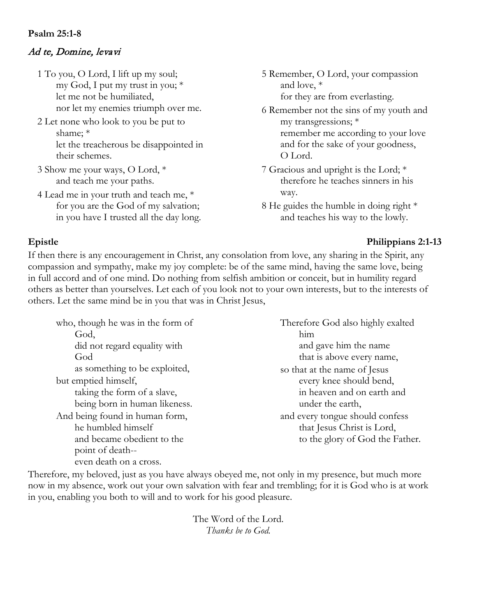### **Psalm 25:1-8**

# Ad te, Domine, levavi

- 1 To you, O Lord, I lift up my soul; my God, I put my trust in you; \* let me not be humiliated, nor let my enemies triumph over me.
- 2 Let none who look to you be put to shame; \* let the treacherous be disappointed in their schemes.
- 3 Show me your ways, O Lord, \* and teach me your paths.
- 4 Lead me in your truth and teach me, \* for you are the God of my salvation; in you have I trusted all the day long.
- 5 Remember, O Lord, your compassion and love, \* for they are from everlasting.
- 6 Remember not the sins of my youth and my transgressions; \* remember me according to your love and for the sake of your goodness, O Lord.
- 7 Gracious and upright is the Lord; \* therefore he teaches sinners in his way.
- 8 He guides the humble in doing right \* and teaches his way to the lowly.

#### **Epistle Philippians 2:1-13**

If then there is any encouragement in Christ, any consolation from love, any sharing in the Spirit, any compassion and sympathy, make my joy complete: be of the same mind, having the same love, being in full accord and of one mind. Do nothing from selfish ambition or conceit, but in humility regard others as better than yourselves. Let each of you look not to your own interests, but to the interests of others. Let the same mind be in you that was in Christ Jesus,

who, though he was in the form of God, did not regard equality with God as something to be exploited, but emptied himself, taking the form of a slave, being born in human likeness. And being found in human form, he humbled himself and became obedient to the point of death- even death on a cross.

Therefore God also highly exalted him and gave him the name that is above every name, so that at the name of Jesus every knee should bend, in heaven and on earth and under the earth, and every tongue should confess that Jesus Christ is Lord, to the glory of God the Father.

Therefore, my beloved, just as you have always obeyed me, not only in my presence, but much more now in my absence, work out your own salvation with fear and trembling; for it is God who is at work in you, enabling you both to will and to work for his good pleasure.

> The Word of the Lord. *Thanks be to God.*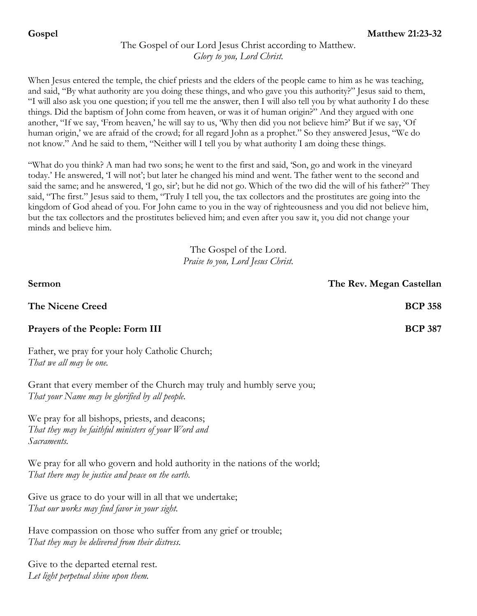# The Gospel of our Lord Jesus Christ according to Matthew. *Glory to you, Lord Christ.*

When Jesus entered the temple, the chief priests and the elders of the people came to him as he was teaching, and said, "By what authority are you doing these things, and who gave you this authority?" Jesus said to them, "I will also ask you one question; if you tell me the answer, then I will also tell you by what authority I do these things. Did the baptism of John come from heaven, or was it of human origin?" And they argued with one another, "If we say, 'From heaven,' he will say to us, 'Why then did you not believe him?' But if we say, 'Of human origin,' we are afraid of the crowd; for all regard John as a prophet." So they answered Jesus, "We do not know." And he said to them, "Neither will I tell you by what authority I am doing these things.

"What do you think? A man had two sons; he went to the first and said, 'Son, go and work in the vineyard today.' He answered, 'I will not'; but later he changed his mind and went. The father went to the second and said the same; and he answered, 'I go, sir'; but he did not go. Which of the two did the will of his father?" They said, "The first." Jesus said to them, "Truly I tell you, the tax collectors and the prostitutes are going into the kingdom of God ahead of you. For John came to you in the way of righteousness and you did not believe him, but the tax collectors and the prostitutes believed him; and even after you saw it, you did not change your minds and believe him.

> The Gospel of the Lord. *Praise to you, Lord Jesus Christ.*

| Sermon                                                                                                                          | The Rev. Megan Castellan |
|---------------------------------------------------------------------------------------------------------------------------------|--------------------------|
| <b>The Nicene Creed</b>                                                                                                         | <b>BCP 358</b>           |
| <b>Prayers of the People: Form III</b>                                                                                          | <b>BCP 387</b>           |
| Father, we pray for your holy Catholic Church;<br>That we all may be one.                                                       |                          |
| Grant that every member of the Church may truly and humbly serve you;<br>That your Name may be glorified by all people.         |                          |
| We pray for all bishops, priests, and deacons;<br>That they may be faithful ministers of your Word and<br>Sacraments.           |                          |
| We pray for all who govern and hold authority in the nations of the world;<br>That there may be justice and peace on the earth. |                          |
| $C_{\text{tree}}$ is one on to do roughlin all that we undertake                                                                |                          |

Give us grace to do your will in all that we undertake; *That our works may find favor in your sight.*

Have compassion on those who suffer from any grief or trouble; *That they may be delivered from their distress.*

Give to the departed eternal rest. *Let light perpetual shine upon them.*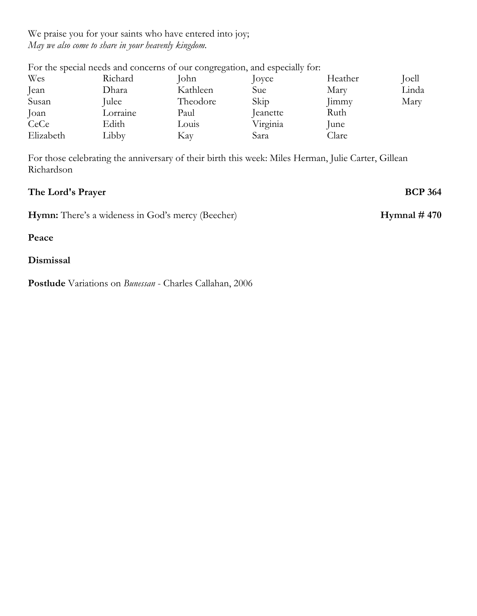We praise you for your saints who have entered into joy; *May we also come to share in your heavenly kingdom.*

|           |          | For the special needs and concerns of our congregation, and especially for: |          |              |       |
|-----------|----------|-----------------------------------------------------------------------------|----------|--------------|-------|
| Wes       | Richard  | John                                                                        | Joyce    | Heather      | Joell |
| Jean      | Dhara    | Kathleen                                                                    | Sue      | Mary         | Linda |
| Susan     | Julee    | Theodore                                                                    | Skip     | <b>Jimmy</b> | Mary  |
| Joan      | Lorraine | Paul                                                                        | Jeanette | Ruth         |       |
| CeCe      | Edith    | Louis                                                                       | Virginia | June         |       |
| Elizabeth | Libby    | Kay                                                                         | Sara     | Clare        |       |

For those celebrating the anniversary of their birth this week: Miles Herman, Julie Carter, Gillean Richardson

| The Lord's Prayer                                        | <b>BCP 364</b> |
|----------------------------------------------------------|----------------|
| <b>Hymn:</b> There's a wideness in God's mercy (Beecher) | Hymnal $#470$  |
| Peace                                                    |                |
| Dismissal                                                |                |

**Postlude** Variations on *Bunessan* - Charles Callahan, 2006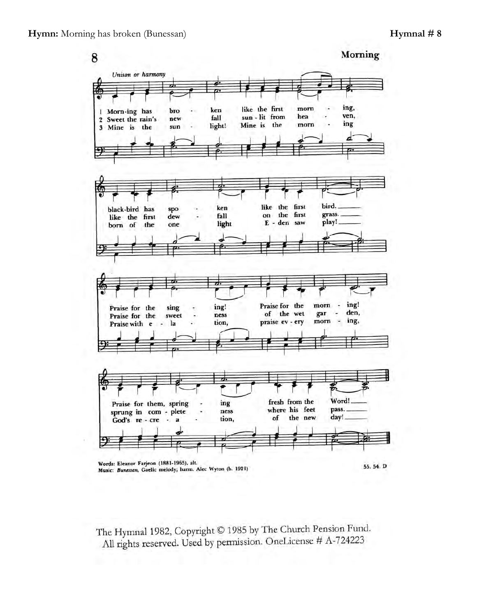

The Hymnal 1982, Copyright © 1985 by The Church Pension Fund. All rights reserved. Used by permission. OneLicense # A-724223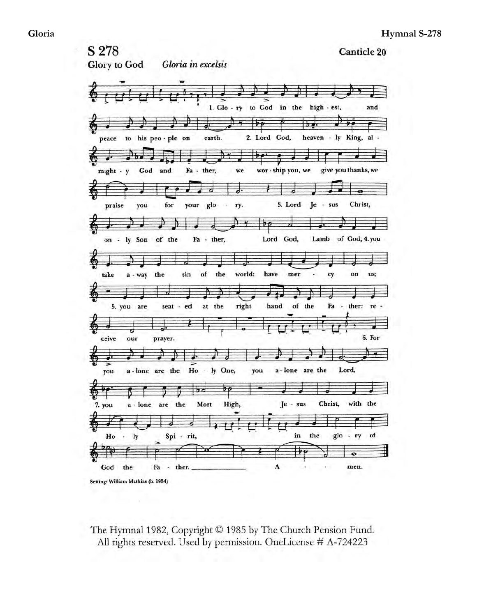S 278 **Canticle 20 Glory** to God Gloria in excelsis 1.  $Glo - ry$  to  $God$  in the high - est, and  $\overline{\mathcal{A}}$ Ď  $\overline{\mathfrak{b}}$  $b$ . 2. Lord God, heaven - ly King, al peace to his peo - ple on earth.  $\overline{\mathbf{y}}$ ₩ Ŕ give you thanks, we and Fa - ther, might - y God we wor - ship you, we ᆏ for 3. Lord Christ, your glo ry. Je  $-$  sus praise you i.  $\overline{P}$ Lord God, on - ly Son of the Fa - ther, Lamb of God, 4.you a - way the  $of$ the world: have mer on us; take sin cy Ŧ of the 5. you are seat - ed at the right hand Fa - ther: re 6. For prayer. ceive our  $\rightarrow$ a - lone are the Ho ly One, a - lone are the Lord, you you be:  $\overline{b\rho}$  $b$ d Christ, with the High, the Most Je  $-$  sus 7. you a - lone are 긓 ಕ  $1<sub>y</sub>$ in the glo of  ${\bf Ho}$ Spi - rit,  $+$  ry  $\sim$  $\overline{\mathcal{P}}$ God the Fa  $\lambda$ ther. A men.  $\overline{\phantom{a}}$ Setting: William Mathias (b. 1934)

The Hymnal 1982, Copyright © 1985 by The Church Pension Fund. All rights reserved. Used by permission. OneLicense # A-724223

ä,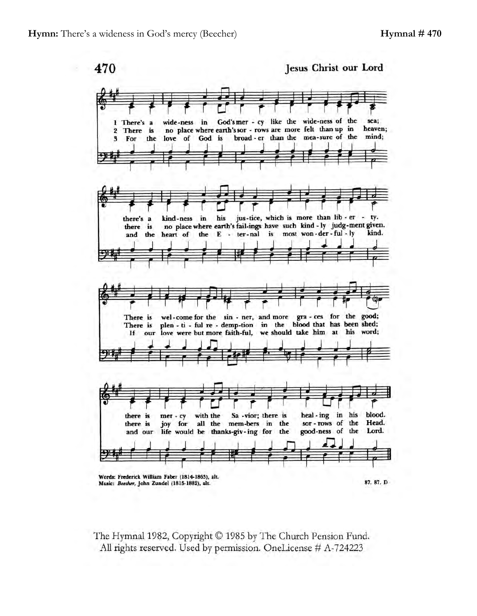470

Jesus Christ our Lord



The Hymnal 1982, Copyright © 1985 by The Church Pension Fund. All rights reserved. Used by permission. OneLicense # A-724223